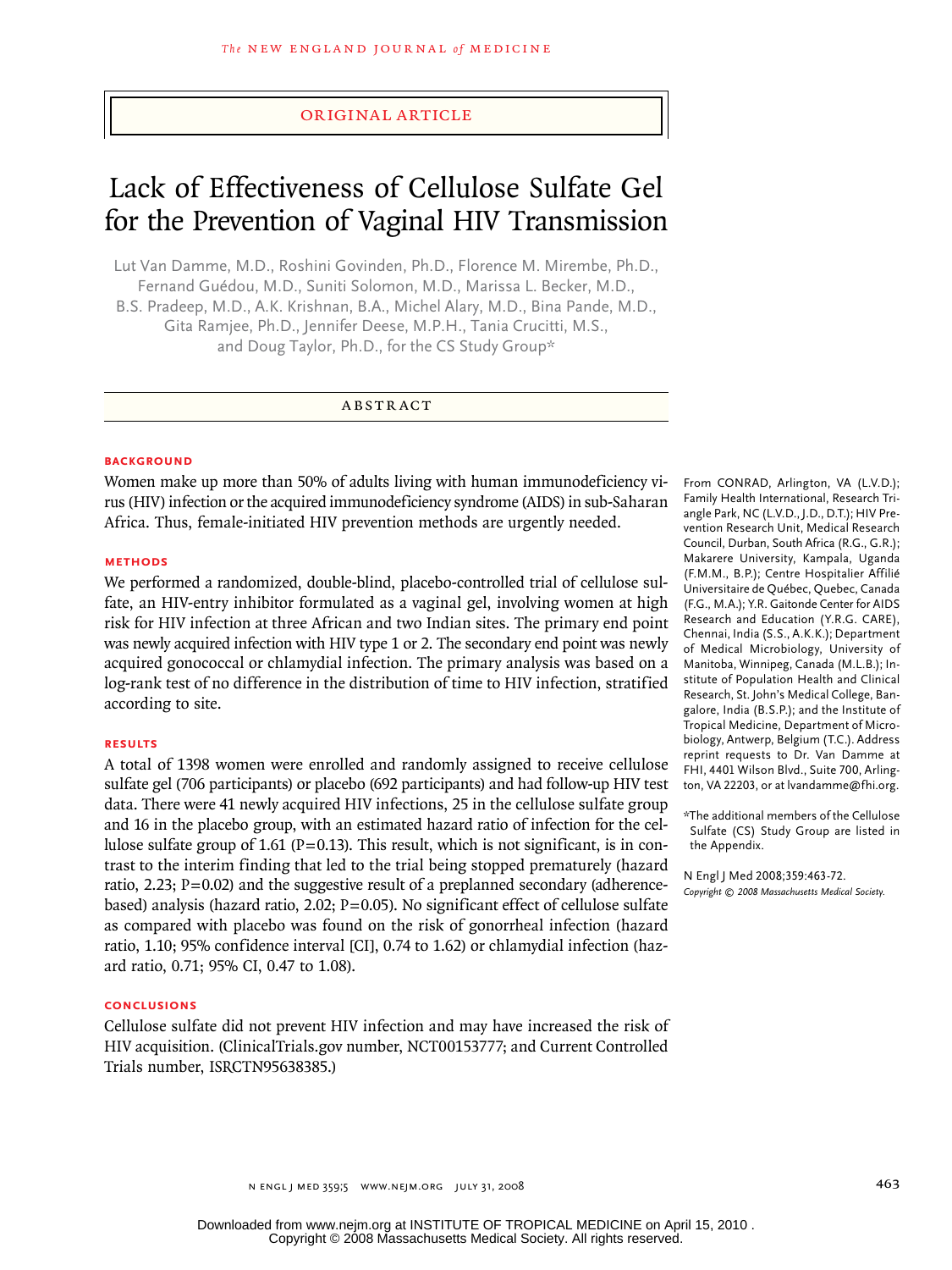## original article

# Lack of Effectiveness of Cellulose Sulfate Gel for the Prevention of Vaginal HIV Transmission

Lut Van Damme, M.D., Roshini Govinden, Ph.D., Florence M. Mirembe, Ph.D., Fernand Guédou, M.D., Suniti Solomon, M.D., Marissa L. Becker, M.D., B.S. Pradeep, M.D., A.K. Krishnan, B.A., Michel Alary, M.D., Bina Pande, M.D., Gita Ramjee, Ph.D., Jennifer Deese, M.P.H., Tania Crucitti, M.S., and Doug Taylor, Ph.D., for the CS Study Group\*

# ABSTRACT

#### **BACKGROUND**

Women make up more than 50% of adults living with human immunodeficiency virus (HIV) infection or the acquired immunodeficiency syndrome (AIDS) in sub-Saharan Africa. Thus, female-initiated HIV prevention methods are urgently needed.

#### **Methods**

We performed a randomized, double-blind, placebo-controlled trial of cellulose sulfate, an HIV-entry inhibitor formulated as a vaginal gel, involving women at high risk for HIV infection at three African and two Indian sites. The primary end point was newly acquired infection with HIV type 1 or 2. The secondary end point was newly acquired gonococcal or chlamydial infection. The primary analysis was based on a log-rank test of no difference in the distribution of time to HIV infection, stratified according to site.

#### **Results**

A total of 1398 women were enrolled and randomly assigned to receive cellulose sulfate gel (706 participants) or placebo (692 participants) and had follow-up HIV test data. There were 41 newly acquired HIV infections, 25 in the cellulose sulfate group and 16 in the placebo group, with an estimated hazard ratio of infection for the cellulose sulfate group of 1.61 (P=0.13). This result, which is not significant, is in contrast to the interim finding that led to the trial being stopped prematurely (hazard ratio, 2.23;  $P=0.02$ ) and the suggestive result of a preplanned secondary (adherencebased) analysis (hazard ratio, 2.02;  $P=0.05$ ). No significant effect of cellulose sulfate as compared with placebo was found on the risk of gonorrheal infection (hazard ratio, 1.10; 95% confidence interval [CI], 0.74 to 1.62) or chlamydial infection (hazard ratio, 0.71; 95% CI, 0.47 to 1.08).

### **Conclusions**

Cellulose sulfate did not prevent HIV infection and may have increased the risk of HIV acquisition. (ClinicalTrials.gov number, NCT00153777; and Current Controlled Trials number, ISRCTN95638385.)

From CONRAD, Arlington, VA (L.V.D.); Family Health International, Research Triangle Park, NC (L.V.D., J.D., D.T.); HIV Prevention Research Unit, Medical Research Council, Durban, South Africa (R.G., G.R.); Makarere University, Kampala, Uganda (F.M.M., B.P.); Centre Hospitalier Affilié Universitaire de Québec, Quebec, Canada (F.G., M.A.); Y.R. Gaitonde Center for AIDS Research and Education (Y.R.G. CARE), Chennai, India (S.S., A.K.K.); Department of Medical Microbiology, University of Manitoba, Winnipeg, Canada (M.L.B.); Institute of Population Health and Clinical Research, St. John's Medical College, Bangalore, India (B.S.P.); and the Institute of Tropical Medicine, Department of Microbiology, Antwerp, Belgium (T.C.). Address reprint requests to Dr. Van Damme at FHI, 4401 Wilson Blvd., Suite 700, Arlington, VA 22203, or at lvandamme@fhi.org.

\*The additional members of the Cellulose Sulfate (CS) Study Group are listed in the Appendix.

N Engl J Med 2008;359:463-72. *Copyright © 2008 Massachusetts Medical Society.*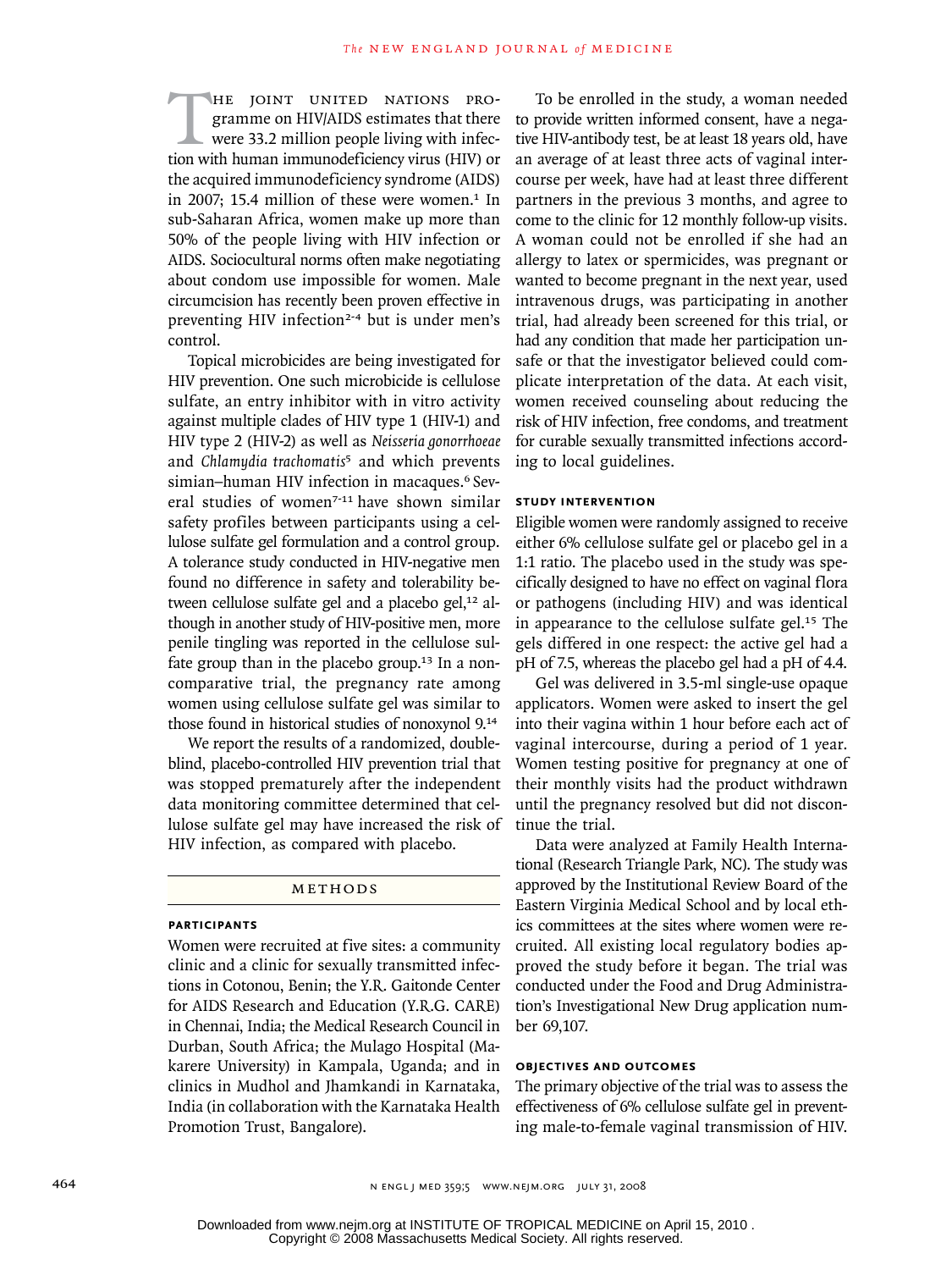HE JOINT UNITED NATIONS PRO-<br>gramme on HIV/AIDS estimates that there<br>were 33.2 million people living with infec-<br>tion with human immunodeficiency virus (HIV) or gramme on HIV/AIDS estimates that there were 33.2 million people living with infecthe acquired immunodeficiency syndrome (AIDS) in 2007; 15.4 million of these were women. $1$  In sub-Saharan Africa, women make up more than 50% of the people living with HIV infection or AIDS. Sociocultural norms often make negotiating about condom use impossible for women. Male circumcision has recently been proven effective in preventing HIV infection<sup>2-4</sup> but is under men's control.

Topical microbicides are being investigated for HIV prevention. One such microbicide is cellulose sulfate, an entry inhibitor with in vitro activity against multiple clades of HIV type 1 (HIV-1) and HIV type 2 (HIV-2) as well as *Neisseria gonorrhoeae* and *Chlamydia trachomatis*5 and which prevents simian–human HIV infection in macaques.<sup>6</sup> Several studies of women<sup>7-11</sup> have shown similar safety profiles between participants using a cellulose sulfate gel formulation and a control group. A tolerance study conducted in HIV-negative men found no difference in safety and tolerability between cellulose sulfate gel and a placebo gel,<sup>12</sup> although in another study of HIV-positive men, more penile tingling was reported in the cellulose sulfate group than in the placebo group.<sup>13</sup> In a noncomparative trial, the pregnancy rate among women using cellulose sulfate gel was similar to those found in historical studies of nonoxynol 9.<sup>14</sup>

We report the results of a randomized, doubleblind, placebo-controlled HIV prevention trial that was stopped prematurely after the independent data monitoring committee determined that cellulose sulfate gel may have increased the risk of HIV infection, as compared with placebo.

#### Methods

### **Participants**

Women were recruited at five sites: a community clinic and a clinic for sexually transmitted infections in Cotonou, Benin; the Y.R. Gaitonde Center for AIDS Research and Education (Y.R.G. CARE) in Chennai, India; the Medical Research Council in Durban, South Africa; the Mulago Hospital (Makarere University) in Kampala, Uganda; and in clinics in Mudhol and Jhamkandi in Karnataka, India (in collaboration with the Karnataka Health Promotion Trust, Bangalore).

To be enrolled in the study, a woman needed to provide written informed consent, have a negative HIV-antibody test, be at least 18 years old, have an average of at least three acts of vaginal intercourse per week, have had at least three different partners in the previous 3 months, and agree to come to the clinic for 12 monthly follow-up visits. A woman could not be enrolled if she had an allergy to latex or spermicides, was pregnant or wanted to become pregnant in the next year, used intravenous drugs, was participating in another trial, had already been screened for this trial, or had any condition that made her participation unsafe or that the investigator believed could complicate interpretation of the data. At each visit, women received counseling about reducing the risk of HIV infection, free condoms, and treatment for curable sexually transmitted infections according to local guidelines.

#### **Study Intervention**

Eligible women were randomly assigned to receive either 6% cellulose sulfate gel or placebo gel in a 1:1 ratio. The placebo used in the study was specifically designed to have no effect on vaginal flora or pathogens (including HIV) and was identical in appearance to the cellulose sulfate gel.15 The gels differed in one respect: the active gel had a pH of 7.5, whereas the placebo gel had a pH of 4.4.

Gel was delivered in 3.5-ml single-use opaque applicators. Women were asked to insert the gel into their vagina within 1 hour before each act of vaginal intercourse, during a period of 1 year. Women testing positive for pregnancy at one of their monthly visits had the product withdrawn until the pregnancy resolved but did not discontinue the trial.

Data were analyzed at Family Health International (Research Triangle Park, NC). The study was approved by the Institutional Review Board of the Eastern Virginia Medical School and by local ethics committees at the sites where women were recruited. All existing local regulatory bodies approved the study before it began. The trial was conducted under the Food and Drug Administration's Investigational New Drug application number 69,107.

#### **Objectives and Outcomes**

The primary objective of the trial was to assess the effectiveness of 6% cellulose sulfate gel in preventing male-to-female vaginal transmission of HIV.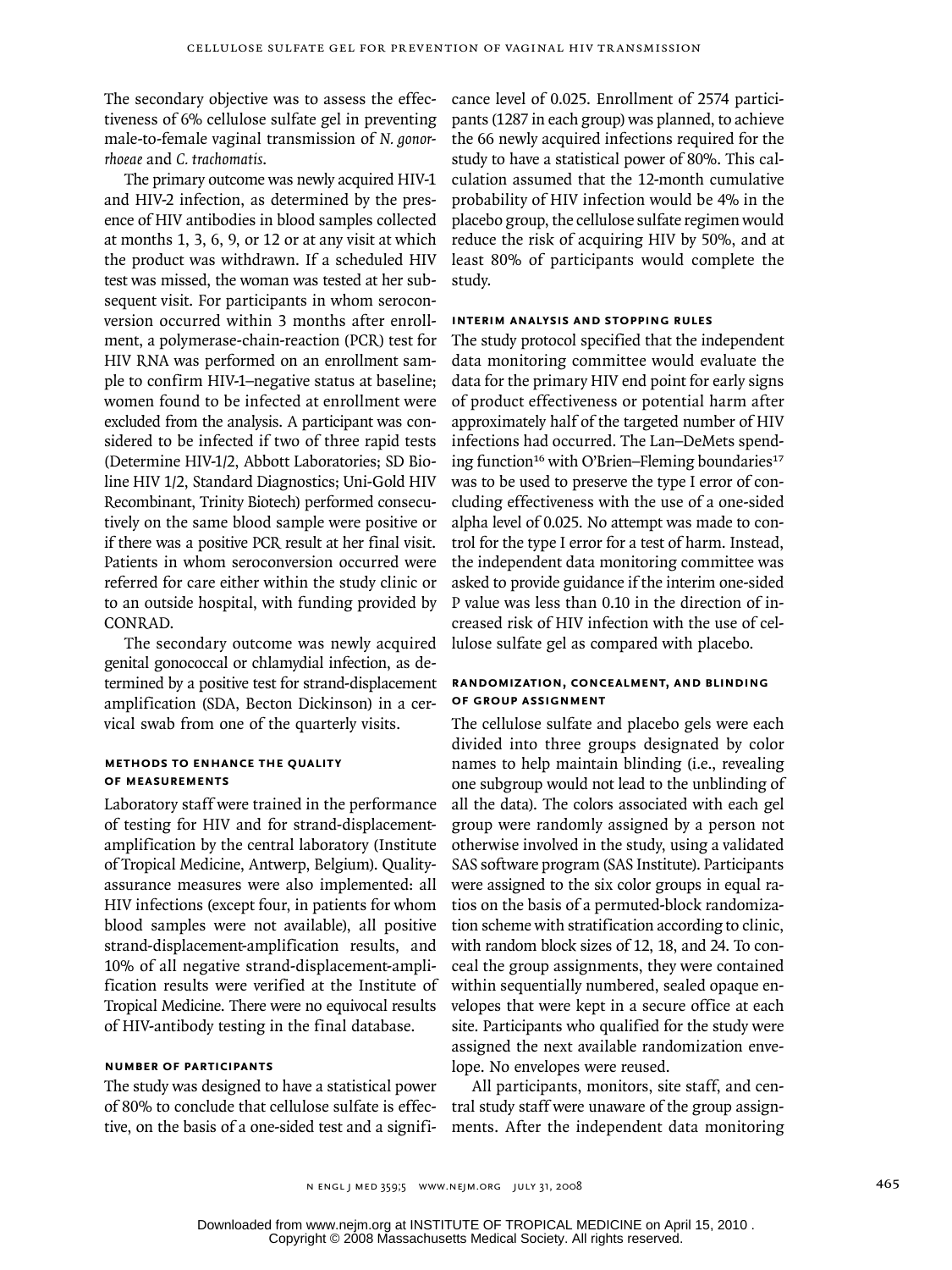The secondary objective was to assess the effectiveness of 6% cellulose sulfate gel in preventing male-to-female vaginal transmission of *N. gonorrhoeae* and *C. trachomatis*.

The primary outcome was newly acquired HIV-1 and HIV-2 infection, as determined by the presence of HIV antibodies in blood samples collected at months 1, 3, 6, 9, or 12 or at any visit at which the product was withdrawn. If a scheduled HIV test was missed, the woman was tested at her subsequent visit. For participants in whom seroconversion occurred within 3 months after enrollment, a polymerase-chain-reaction (PCR) test for HIV RNA was performed on an enrollment sample to confirm HIV-1–negative status at baseline; women found to be infected at enrollment were excluded from the analysis. A participant was considered to be infected if two of three rapid tests (Determine HIV-1/2, Abbott Laboratories; SD Bioline HIV 1/2, Standard Diagnostics; Uni-Gold HIV Recombinant, Trinity Biotech) performed consecutively on the same blood sample were positive or if there was a positive PCR result at her final visit. Patients in whom seroconversion occurred were referred for care either within the study clinic or to an outside hospital, with funding provided by CONRAD.

The secondary outcome was newly acquired genital gonococcal or chlamydial infection, as determined by a positive test for strand-displacement amplification (SDA, Becton Dickinson) in a cervical swab from one of the quarterly visits.

## **Methods to Enhance the Quality of Measurements**

Laboratory staff were trained in the performance of testing for HIV and for strand-displacementamplification by the central laboratory (Institute of Tropical Medicine, Antwerp, Belgium). Qualityassurance measures were also implemented: all HIV infections (except four, in patients for whom blood samples were not available), all positive strand-displacement-amplification results, and 10% of all negative strand-displacement-amplification results were verified at the Institute of Tropical Medicine. There were no equivocal results of HIV-antibody testing in the final database.

## **Number of Participants**

The study was designed to have a statistical power of 80% to conclude that cellulose sulfate is effective, on the basis of a one-sided test and a signifi-

cance level of 0.025. Enrollment of 2574 participants (1287 in each group) was planned, to achieve the 66 newly acquired infections required for the study to have a statistical power of 80%. This calculation assumed that the 12-month cumulative probability of HIV infection would be 4% in the placebo group, the cellulose sulfate regimen would reduce the risk of acquiring HIV by 50%, and at least 80% of participants would complete the study.

# **Interim Analysis and Stopping Rules**

The study protocol specified that the independent data monitoring committee would evaluate the data for the primary HIV end point for early signs of product effectiveness or potential harm after approximately half of the targeted number of HIV infections had occurred. The Lan–DeMets spending function<sup>16</sup> with O'Brien–Fleming boundaries<sup>17</sup> was to be used to preserve the type I error of concluding effectiveness with the use of a one-sided alpha level of 0.025. No attempt was made to control for the type I error for a test of harm. Instead, the independent data monitoring committee was asked to provide guidance if the interim one-sided P value was less than 0.10 in the direction of increased risk of HIV infection with the use of cellulose sulfate gel as compared with placebo.

# **Randomization, Concealment, and Blinding of Group Assignment**

The cellulose sulfate and placebo gels were each divided into three groups designated by color names to help maintain blinding (i.e., revealing one subgroup would not lead to the unblinding of all the data). The colors associated with each gel group were randomly assigned by a person not otherwise involved in the study, using a validated SAS software program (SAS Institute). Participants were assigned to the six color groups in equal ratios on the basis of a permuted-block randomization scheme with stratification according to clinic, with random block sizes of 12, 18, and 24. To conceal the group assignments, they were contained within sequentially numbered, sealed opaque envelopes that were kept in a secure office at each site. Participants who qualified for the study were assigned the next available randomization envelope. No envelopes were reused.

All participants, monitors, site staff, and central study staff were unaware of the group assignments. After the independent data monitoring

n engl j med 359;5 www.nejm.org july 31, 2008 465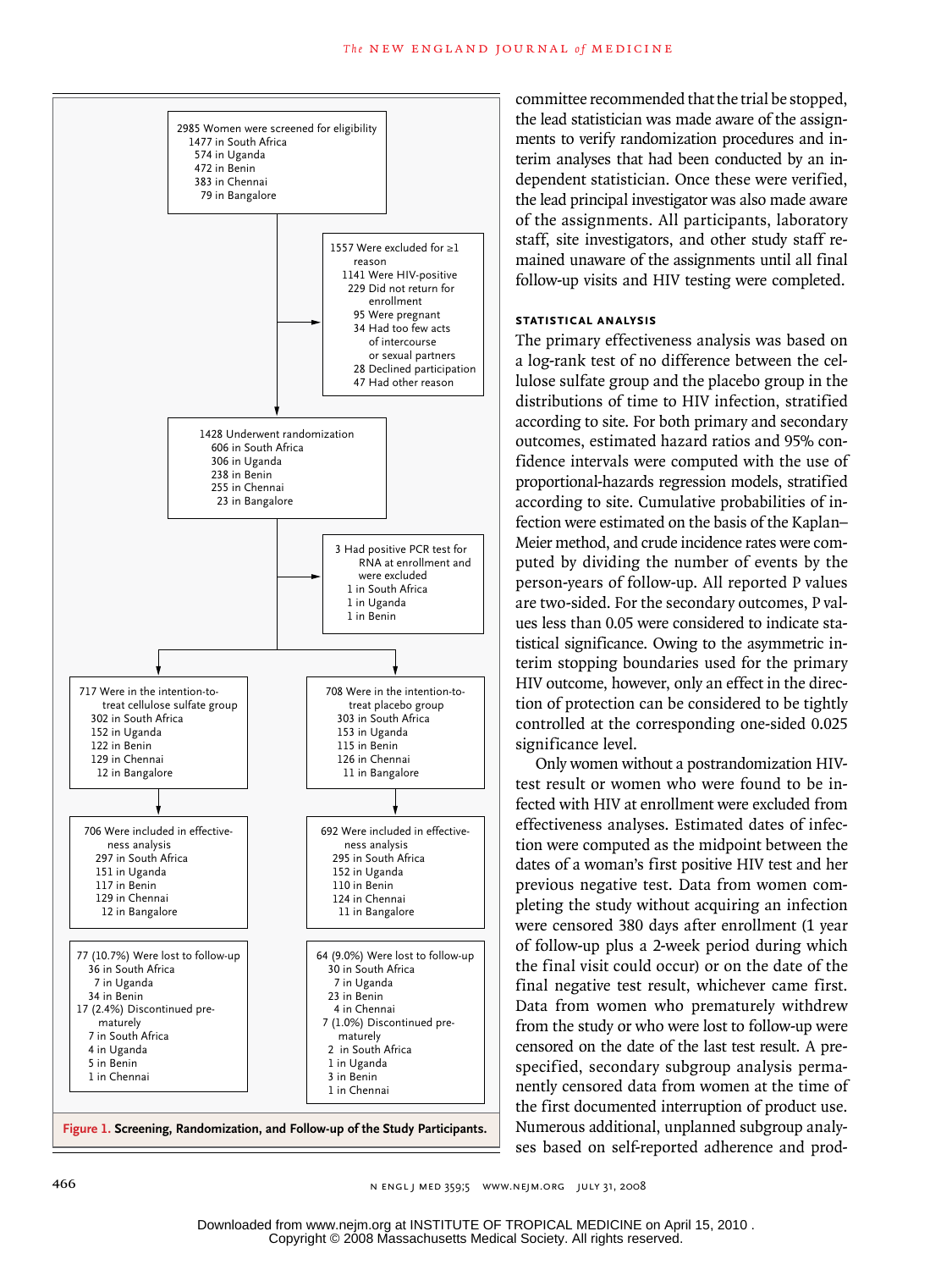

committee recommended that the trial be stopped, the lead statistician was made aware of the assignments to verify randomization procedures and interim analyses that had been conducted by an independent statistician. Once these were verified, the lead principal investigator was also made aware of the assignments. All participants, laboratory staff, site investigators, and other study staff remained unaware of the assignments until all final follow-up visits and HIV testing were completed.

# **Statistical Analysis**

The primary effectiveness analysis was based on a log-rank test of no difference between the cellulose sulfate group and the placebo group in the distributions of time to HIV infection, stratified according to site. For both primary and secondary outcomes, estimated hazard ratios and 95% confidence intervals were computed with the use of proportional-hazards regression models, stratified according to site. Cumulative probabilities of infection were estimated on the basis of the Kaplan– Meier method, and crude incidence rates were computed by dividing the number of events by the person-years of follow-up. All reported P values are two-sided. For the secondary outcomes, P values less than 0.05 were considered to indicate statistical significance. Owing to the asymmetric interim stopping boundaries used for the primary HIV outcome, however, only an effect in the direction of protection can be considered to be tightly controlled at the corresponding one-sided 0.025 significance level.

Only women without a postrandomization HIVtest result or women who were found to be infected with HIV at enrollment were excluded from effectiveness analyses. Estimated dates of infection were computed as the midpoint between the dates of a woman's first positive HIV test and her previous negative test. Data from women completing the study without acquiring an infection were censored 380 days after enrollment (1 year of follow-up plus a 2-week period during which the final visit could occur) or on the date of the final negative test result, whichever came first. Data from women who prematurely withdrew from the study or who were lost to follow-up were censored on the date of the last test result. A prespecified, secondary subgroup analysis permanently censored data from women at the time of the first documented interruption of product use. Numerous additional, unplanned subgroup analyses based on self-reported adherence and prod-

REG F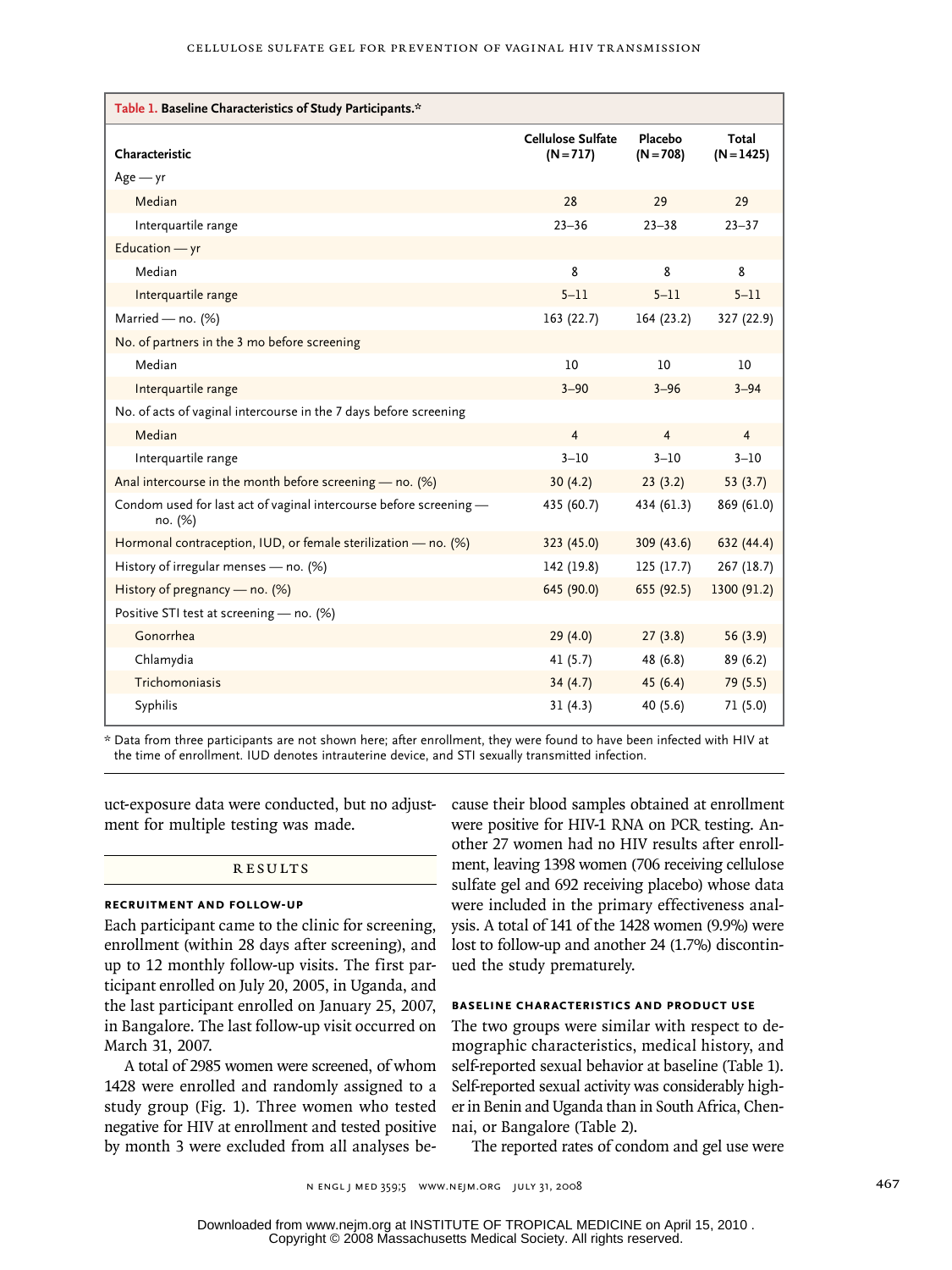| Table 1. Baseline Characteristics of Study Participants.*                     |                                         |                        |                       |  |  |  |
|-------------------------------------------------------------------------------|-----------------------------------------|------------------------|-----------------------|--|--|--|
| Characteristic                                                                | <b>Cellulose Sulfate</b><br>$(N = 717)$ | Placebo<br>$(N = 708)$ | Total<br>$(N = 1425)$ |  |  |  |
| $Age - yr$                                                                    |                                         |                        |                       |  |  |  |
| Median                                                                        | 28                                      | 29                     | 29                    |  |  |  |
| Interquartile range                                                           | $23 - 36$                               | $23 - 38$              | $23 - 37$             |  |  |  |
| Education - yr                                                                |                                         |                        |                       |  |  |  |
| Median                                                                        | 8                                       | 8                      | 8                     |  |  |  |
| Interquartile range                                                           | $5 - 11$                                | $5 - 11$               | $5 - 11$              |  |  |  |
| Married - no. (%)                                                             | 163 (22.7)                              | 164 (23.2)             | 327 (22.9)            |  |  |  |
| No. of partners in the 3 mo before screening                                  |                                         |                        |                       |  |  |  |
| Median                                                                        | 10                                      | 10                     | 10                    |  |  |  |
| Interquartile range                                                           | $3 - 90$                                | $3 - 96$               | $3 - 94$              |  |  |  |
| No. of acts of vaginal intercourse in the 7 days before screening             |                                         |                        |                       |  |  |  |
| Median                                                                        | $\overline{4}$                          | $\overline{4}$         | $\overline{4}$        |  |  |  |
| Interquartile range                                                           | $3 - 10$                                | $3 - 10$               | $3 - 10$              |  |  |  |
| Anal intercourse in the month before screening $-$ no. (%)                    | 30(4.2)                                 | 23(3.2)                | 53 $(3.7)$            |  |  |  |
| Condom used for last act of vaginal intercourse before screening -<br>no. (%) | 435 (60.7)                              | 434 (61.3)             | 869 (61.0)            |  |  |  |
| Hormonal contraception, IUD, or female sterilization - no. (%)                | 323 (45.0)                              | 309(43.6)              | 632 (44.4)            |  |  |  |
| History of irregular menses $-$ no. (%)                                       | 142 (19.8)                              | 125(17.7)              | 267 (18.7)            |  |  |  |
| History of pregnancy - no. (%)                                                | 645 (90.0)                              | 655 (92.5)             | 1300 (91.2)           |  |  |  |
| Positive STI test at screening - no. (%)                                      |                                         |                        |                       |  |  |  |
| Gonorrhea                                                                     | 29(4.0)                                 | 27(3.8)                | 56(3.9)               |  |  |  |
| Chlamydia                                                                     | 41(5.7)                                 | 48 (6.8)               | 89 (6.2)              |  |  |  |
| Trichomoniasis                                                                | 34(4.7)                                 | 45(6.4)                | 79 (5.5)              |  |  |  |
| Syphilis                                                                      | 31(4.3)                                 | 40(5.6)                | 71 (5.0)              |  |  |  |

\* Data from three participants are not shown here; after enrollment, they were found to have been infected with HIV at the time of enrollment. IUD denotes intrauterine device, and STI sexually transmitted infection.

uct-exposure data were conducted, but no adjustment for multiple testing was made.

# **RESULTS**

## **Recruitment and Follow-up**

Each participant came to the clinic for screening, enrollment (within 28 days after screening), and up to 12 monthly follow-up visits. The first participant enrolled on July 20, 2005, in Uganda, and the last participant enrolled on January 25, 2007, in Bangalore. The last follow-up visit occurred on March 31, 2007.

A total of 2985 women were screened, of whom 1428 were enrolled and randomly assigned to a study group (Fig. 1). Three women who tested negative for HIV at enrollment and tested positive by month 3 were excluded from all analyses because their blood samples obtained at enrollment were positive for HIV-1 RNA on PCR testing. Another 27 women had no HIV results after enrollment, leaving 1398 women (706 receiving cellulose sulfate gel and 692 receiving placebo) whose data were included in the primary effectiveness analysis. A total of 141 of the 1428 women (9.9%) were lost to follow-up and another 24 (1.7%) discontinued the study prematurely.

## **Baseline Characteristics and Product Use**

The two groups were similar with respect to demographic characteristics, medical history, and self-reported sexual behavior at baseline (Table 1). Self-reported sexual activity was considerably higher in Benin and Uganda than in South Africa, Chennai, or Bangalore (Table 2).

The reported rates of condom and gel use were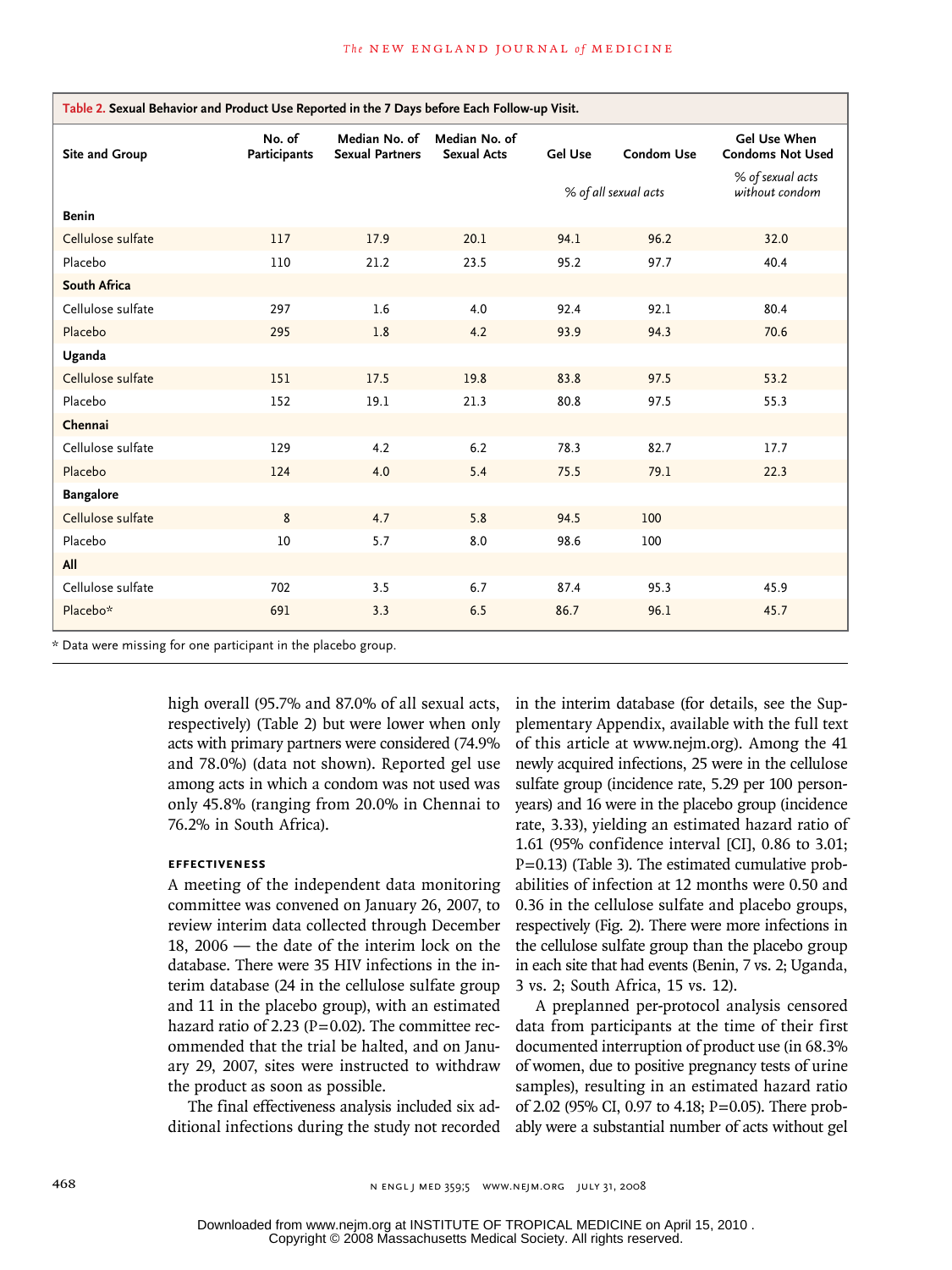| Table 2. Sexual Behavior and Product Use Reported in the 7 Days before Each Follow-up Visit. |                                                                                          |                                         |                                     |                |                      |                                                |
|----------------------------------------------------------------------------------------------|------------------------------------------------------------------------------------------|-----------------------------------------|-------------------------------------|----------------|----------------------|------------------------------------------------|
| Site and Group                                                                               | No. of<br>Participants                                                                   | Median No. of<br><b>Sexual Partners</b> | Median No. of<br><b>Sexual Acts</b> | <b>Gel Use</b> | <b>Condom Use</b>    | <b>Gel Use When</b><br><b>Condoms Not Used</b> |
|                                                                                              |                                                                                          |                                         |                                     |                | % of all sexual acts | % of sexual acts<br>without condom             |
| <b>Benin</b>                                                                                 |                                                                                          |                                         |                                     |                |                      |                                                |
| Cellulose sulfate                                                                            | 117                                                                                      | 17.9                                    | 20.1                                | 94.1           | 96.2                 | 32.0                                           |
| Placebo                                                                                      | 110                                                                                      | 21.2                                    | 23.5                                | 95.2           | 97.7                 | 40.4                                           |
| South Africa                                                                                 |                                                                                          |                                         |                                     |                |                      |                                                |
| Cellulose sulfate                                                                            | 297                                                                                      | 1.6                                     | 4.0                                 | 92.4           | 92.1                 | 80.4                                           |
| Placebo                                                                                      | 295                                                                                      | 1.8                                     | 4.2                                 | 93.9           | 94.3                 | 70.6                                           |
| Uganda                                                                                       |                                                                                          |                                         |                                     |                |                      |                                                |
| Cellulose sulfate                                                                            | 151                                                                                      | 17.5                                    | 19.8                                | 83.8           | 97.5                 | 53.2                                           |
| Placebo                                                                                      | 152                                                                                      | 19.1                                    | 21.3                                | 80.8           | 97.5                 | 55.3                                           |
| Chennai                                                                                      |                                                                                          |                                         |                                     |                |                      |                                                |
| Cellulose sulfate                                                                            | 129                                                                                      | 4.2                                     | 6.2                                 | 78.3           | 82.7                 | 17.7                                           |
| Placebo                                                                                      | 124                                                                                      | 4.0                                     | 5.4                                 | 75.5           | 79.1                 | 22.3                                           |
| <b>Bangalore</b>                                                                             |                                                                                          |                                         |                                     |                |                      |                                                |
| Cellulose sulfate                                                                            | 8                                                                                        | 4.7                                     | 5.8                                 | 94.5           | 100                  |                                                |
| Placebo                                                                                      | 10                                                                                       | 5.7                                     | 8.0                                 | 98.6           | 100                  |                                                |
| All                                                                                          |                                                                                          |                                         |                                     |                |                      |                                                |
| Cellulose sulfate                                                                            | 702                                                                                      | 3.5                                     | 6.7                                 | 87.4           | 95.3                 | 45.9                                           |
| Placebo*<br>$\cdot$ $\cdot$ $\cdot$ $\cdot$                                                  | 691<br>and the state of the state of the state of the state of the state of the state of | 3.3                                     | 6.5                                 | 86.7           | 96.1                 | 45.7                                           |

\* Data were missing for one participant in the placebo group.

high overall (95.7% and 87.0% of all sexual acts, respectively) (Table 2) but were lower when only acts with primary partners were considered (74.9% and 78.0%) (data not shown). Reported gel use among acts in which a condom was not used was only 45.8% (ranging from 20.0% in Chennai to 76.2% in South Africa).

#### **Effectiveness**

A meeting of the independent data monitoring committee was convened on January 26, 2007, to review interim data collected through December 18, 2006 — the date of the interim lock on the database. There were 35 HIV infections in the interim database (24 in the cellulose sulfate group and 11 in the placebo group), with an estimated hazard ratio of 2.23 ( $P=0.02$ ). The committee recommended that the trial be halted, and on January 29, 2007, sites were instructed to withdraw the product as soon as possible.

The final effectiveness analysis included six additional infections during the study not recorded in the interim database (for details, see the Supplementary Appendix, available with the full text of this article at www.nejm.org). Among the 41 newly acquired infections, 25 were in the cellulose sulfate group (incidence rate, 5.29 per 100 personyears) and 16 were in the placebo group (incidence rate, 3.33), yielding an estimated hazard ratio of 1.61 (95% confidence interval [CI], 0.86 to 3.01; P=0.13) (Table 3). The estimated cumulative probabilities of infection at 12 months were 0.50 and 0.36 in the cellulose sulfate and placebo groups, respectively (Fig. 2). There were more infections in the cellulose sulfate group than the placebo group in each site that had events (Benin, 7 vs. 2; Uganda, 3 vs. 2; South Africa, 15 vs. 12).

A preplanned per-protocol analysis censored data from participants at the time of their first documented interruption of product use (in 68.3% of women, due to positive pregnancy tests of urine samples), resulting in an estimated hazard ratio of 2.02 (95% CI, 0.97 to 4.18; P=0.05). There probably were a substantial number of acts without gel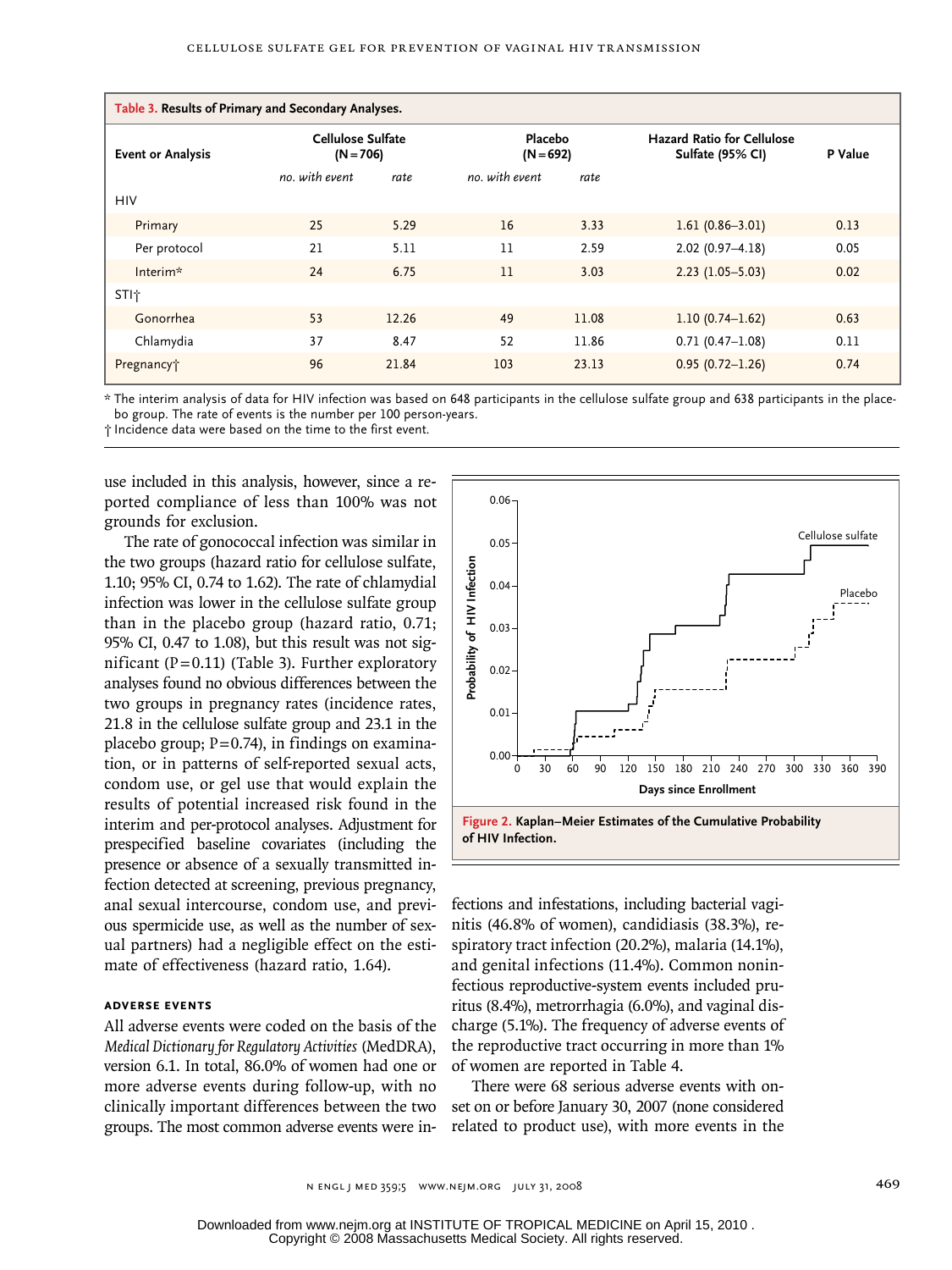| Table 3. Results of Primary and Secondary Analyses. |                                         |       |                        |       |                                                       |         |  |
|-----------------------------------------------------|-----------------------------------------|-------|------------------------|-------|-------------------------------------------------------|---------|--|
| <b>Event or Analysis</b>                            | <b>Cellulose Sulfate</b><br>$(N = 706)$ |       | Placebo<br>$(N = 692)$ |       | <b>Hazard Ratio for Cellulose</b><br>Sulfate (95% CI) | P Value |  |
|                                                     | no, with event                          | rate  | no. with event         | rate  |                                                       |         |  |
| <b>HIV</b>                                          |                                         |       |                        |       |                                                       |         |  |
| Primary                                             | 25                                      | 5.29  | 16                     | 3.33  | $1.61(0.86 - 3.01)$                                   | 0.13    |  |
| Per protocol                                        | 21                                      | 5.11  | 11                     | 2.59  | $2.02(0.97 - 4.18)$                                   | 0.05    |  |
| Interim*                                            | 24                                      | 6.75  | 11                     | 3.03  | $2.23(1.05 - 5.03)$                                   | 0.02    |  |
| STI <sup>+</sup>                                    |                                         |       |                        |       |                                                       |         |  |
| Gonorrhea                                           | 53                                      | 12.26 | 49                     | 11.08 | $1.10(0.74 - 1.62)$                                   | 0.63    |  |
| Chlamydia                                           | 37                                      | 8.47  | 52                     | 11.86 | $0.71(0.47-1.08)$                                     | 0.11    |  |
| Pregnancy <sup>+</sup>                              | 96                                      | 21.84 | 103                    | 23.13 | $0.95(0.72 - 1.26)$                                   | 0.74    |  |

\* The interim analysis of data for HIV infection was based on 648 participants in the cellulose sulfate group and 638 participants in the placebo group. The rate of events is the number per 100 person-years.

† Incidence data were based on the time to the first event.

use included in this analysis, however, since a reported compliance of less than 100% was not grounds for exclusion.

The rate of gonococcal infection was similar in the two groups (hazard ratio for cellulose sulfate, 1.10; 95% CI, 0.74 to 1.62). The rate of chlamydial infection was lower in the cellulose sulfate group than in the placebo group (hazard ratio, 0.71; 95% CI, 0.47 to 1.08), but this result was not significant ( $P=0.11$ ) (Table 3). Further exploratory analyses found no obvious differences between the two groups in pregnancy rates (incidence rates, 21.8 in the cellulose sulfate group and 23.1 in the placebo group;  $P=0.74$ ), in findings on examination, or in patterns of self-reported sexual acts, condom use, or gel use that would explain the results of potential increased risk found in the interim and per-protocol analyses. Adjustment for prespecified baseline covariates (including the presence or absence of a sexually transmitted infection detected at screening, previous pregnancy, anal sexual intercourse, condom use, and previous spermicide use, as well as the number of sexual partners) had a negligible effect on the estimate of effectiveness (hazard ratio, 1.64).

## **Adverse Events**

All adverse events were coded on the basis of the *Medical Dictionary for Regulatory Activities* (MedDRA), version 6.1. In total, 86.0% of women had one or more adverse events during follow-up, with no clinically important differences between the two groups. The most common adverse events were in-



fections and infestations, including bacterial vaginitis (46.8% of women), candidiasis (38.3%), respiratory tract infection (20.2%), malaria (14.1%), and genital infections (11.4%). Common noninfectious reproductive-system events included pruritus (8.4%), metrorrhagia (6.0%), and vaginal discharge (5.1%). The frequency of adverse events of the reproductive tract occurring in more than 1% of women are reported in Table 4.

There were 68 serious adverse events with onset on or before January 30, 2007 (none considered related to product use), with more events in the 3rd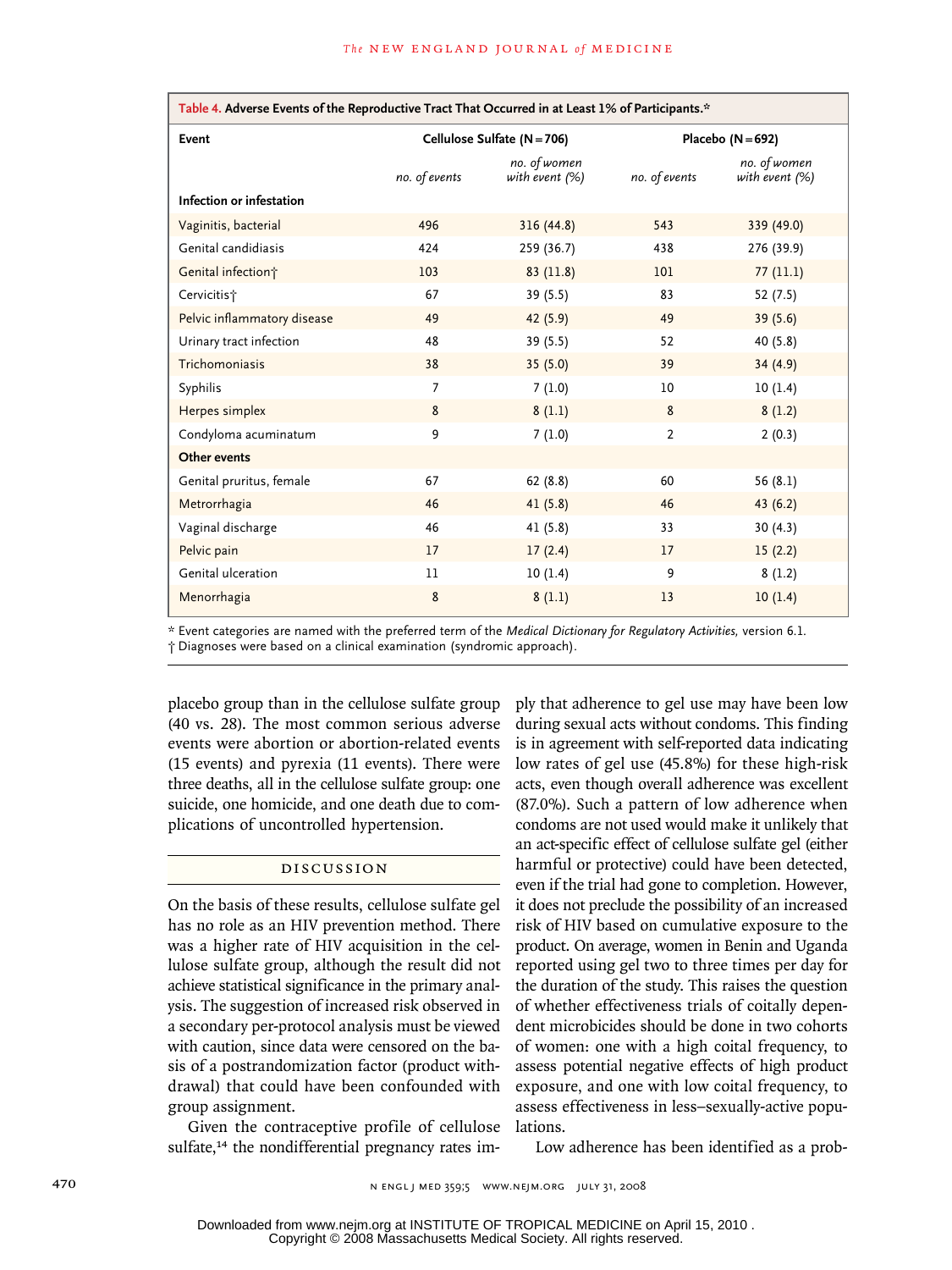| Table 4. Adverse Events of the Reproductive Tract That Occurred in at Least 1% of Participants.* |                             |                                  |                     |                                  |  |  |  |
|--------------------------------------------------------------------------------------------------|-----------------------------|----------------------------------|---------------------|----------------------------------|--|--|--|
| Event                                                                                            | Cellulose Sulfate (N = 706) |                                  | Placebo $(N = 692)$ |                                  |  |  |  |
|                                                                                                  | no. of events               | no. of women<br>with event $(%)$ | no. of events       | no. of women<br>with event $(%)$ |  |  |  |
| Infection or infestation                                                                         |                             |                                  |                     |                                  |  |  |  |
| Vaginitis, bacterial                                                                             | 496                         | 316(44.8)                        | 543                 | 339 (49.0)                       |  |  |  |
| Genital candidiasis                                                                              | 424                         | 259 (36.7)                       | 438                 | 276 (39.9)                       |  |  |  |
| Genital infection <sub>1</sub>                                                                   | 103                         | 83 (11.8)                        | 101                 | 77(11.1)                         |  |  |  |
| Cervicitis <sup>+</sup>                                                                          | 67                          | 39 (5.5)                         | 83                  | 52(7.5)                          |  |  |  |
| Pelvic inflammatory disease                                                                      | 49                          | 42 (5.9)                         | 49                  | 39(5.6)                          |  |  |  |
| Urinary tract infection                                                                          | 48                          | 39 (5.5)                         | 52                  | 40 (5.8)                         |  |  |  |
| Trichomoniasis                                                                                   | 38                          | 35(5.0)                          | 39                  | 34(4.9)                          |  |  |  |
| Syphilis                                                                                         | 7                           | 7(1.0)                           | 10                  | 10(1.4)                          |  |  |  |
| Herpes simplex                                                                                   | 8                           | 8(1.1)                           | 8                   | 8(1.2)                           |  |  |  |
| Condyloma acuminatum                                                                             | 9                           | 7(1.0)                           | $\overline{2}$      | 2(0.3)                           |  |  |  |
| <b>Other events</b>                                                                              |                             |                                  |                     |                                  |  |  |  |
| Genital pruritus, female                                                                         | 67                          | 62(8.8)                          | 60                  | 56(8.1)                          |  |  |  |
| Metrorrhagia                                                                                     | 46                          | 41(5.8)                          | 46                  | 43(6.2)                          |  |  |  |
| Vaginal discharge                                                                                | 46                          | 41 (5.8)                         | 33                  | 30(4.3)                          |  |  |  |
| Pelvic pain                                                                                      | 17                          | 17(2.4)                          | 17                  | 15(2.2)                          |  |  |  |
| Genital ulceration                                                                               | 11                          | 10(1.4)                          | 9                   | 8(1.2)                           |  |  |  |
| Menorrhagia                                                                                      | 8                           | 8(1.1)                           | 13                  | 10(1.4)                          |  |  |  |

\* Event categories are named with the preferred term of the *Medical Dictionary for Regulatory Activities,* version 6.1*.* † Diagnoses were based on a clinical examination (syndromic approach).

placebo group than in the cellulose sulfate group (40 vs. 28). The most common serious adverse events were abortion or abortion-related events (15 events) and pyrexia (11 events). There were three deaths, all in the cellulose sulfate group: one suicide, one homicide, and one death due to complications of uncontrolled hypertension.

# Discussion

On the basis of these results, cellulose sulfate gel has no role as an HIV prevention method. There was a higher rate of HIV acquisition in the cellulose sulfate group, although the result did not achieve statistical significance in the primary analysis. The suggestion of increased risk observed in a secondary per-protocol analysis must be viewed with caution, since data were censored on the basis of a postrandomization factor (product withdrawal) that could have been confounded with group assignment.

Given the contraceptive profile of cellulose lations. sulfate,<sup>14</sup> the nondifferential pregnancy rates im-

ply that adherence to gel use may have been low during sexual acts without condoms. This finding is in agreement with self-reported data indicating low rates of gel use (45.8%) for these high-risk acts, even though overall adherence was excellent (87.0%). Such a pattern of low adherence when condoms are not used would make it unlikely that an act-specific effect of cellulose sulfate gel (either harmful or protective) could have been detected, even if the trial had gone to completion. However, it does not preclude the possibility of an increased risk of HIV based on cumulative exposure to the product. On average, women in Benin and Uganda reported using gel two to three times per day for the duration of the study. This raises the question of whether effectiveness trials of coitally dependent microbicides should be done in two cohorts of women: one with a high coital frequency, to assess potential negative effects of high product exposure, and one with low coital frequency, to assess effectiveness in less–sexually-active popu-

Low adherence has been identified as a prob-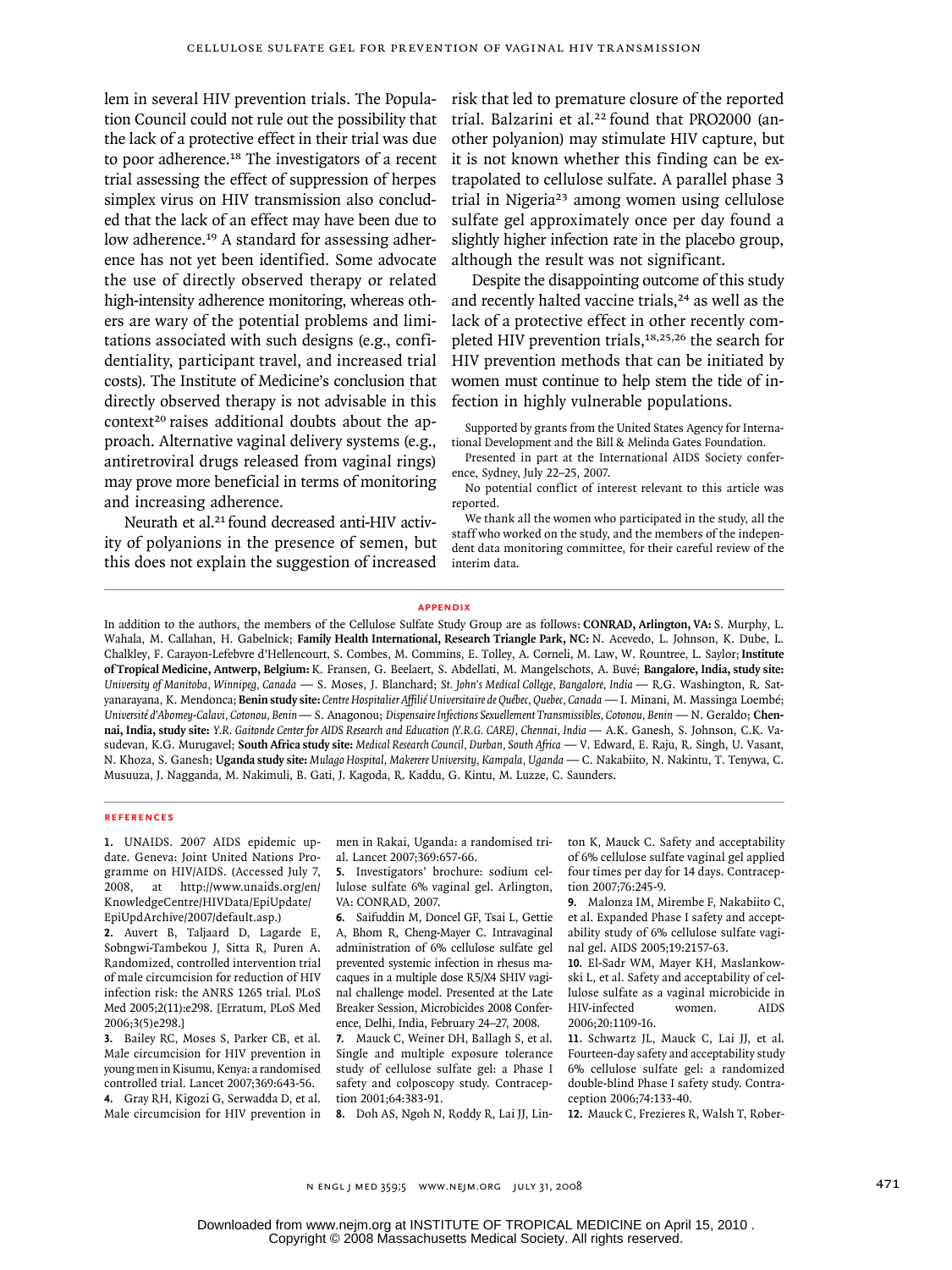lem in several HIV prevention trials. The Population Council could not rule out the possibility that the lack of a protective effect in their trial was due to poor adherence.18 The investigators of a recent trial assessing the effect of suppression of herpes simplex virus on HIV transmission also concluded that the lack of an effect may have been due to low adherence.19 A standard for assessing adherence has not yet been identified. Some advocate the use of directly observed therapy or related high-intensity adherence monitoring, whereas others are wary of the potential problems and limitations associated with such designs (e.g., confidentiality, participant travel, and increased trial costs). The Institute of Medicine's conclusion that directly observed therapy is not advisable in this context<sup>20</sup> raises additional doubts about the approach. Alternative vaginal delivery systems (e.g., antiretroviral drugs released from vaginal rings) may prove more beneficial in terms of monitoring and increasing adherence.

Neurath et al.<sup>21</sup> found decreased anti-HIV activity of polyanions in the presence of semen, but this does not explain the suggestion of increased risk that led to premature closure of the reported trial. Balzarini et al.<sup>22</sup> found that PRO2000 (another polyanion) may stimulate HIV capture, but it is not known whether this finding can be extrapolated to cellulose sulfate. A parallel phase 3 trial in Nigeria<sup>23</sup> among women using cellulose sulfate gel approximately once per day found a slightly higher infection rate in the placebo group, although the result was not significant.

Despite the disappointing outcome of this study and recently halted vaccine trials,<sup>24</sup> as well as the lack of a protective effect in other recently completed HIV prevention trials,<sup>18,25,26</sup> the search for HIV prevention methods that can be initiated by women must continue to help stem the tide of infection in highly vulnerable populations.

Supported by grants from the United States Agency for International Development and the Bill & Melinda Gates Foundation.

Presented in part at the International AIDS Society conference, Sydney, July 22–25, 2007.

No potential conflict of interest relevant to this article was reported.

We thank all the women who participated in the study, all the staff who worked on the study, and the members of the independent data monitoring committee, for their careful review of the interim data.

#### **Appendix**

In addition to the authors, the members of the Cellulose Sulfate Study Group are as follows: **CONRAD, Arlington, VA:** S. Murphy, L. Wahala, M. Callahan, H. Gabelnick; **Family Health International, Research Triangle Park, NC:** N. Acevedo, L. Johnson, K. Dube, L. Chalkley, F. Carayon-Lefebvre d'Hellencourt, S. Combes, M. Commins, E. Tolley, A. Corneli, M. Law, W. Rountree, L. Saylor; **Institute of Tropical Medicine, Antwerp, Belgium:** K. Fransen, G. Beelaert, S. Abdellati, M. Mangelschots, A. Buvé; **Bangalore, India, study site:**  *University of Manitoba, Winnipeg, Canada* — S. Moses, J. Blanchard; *St. John's Medical College, Bangalore, India* — R.G. Washington, R. Satyanarayana, K. Mendonca; **Benin study site:** *Centre Hospitalier Affilié Universitaire de Québec, Quebec, Canada* — I. Minani, M. Massinga Loembé; *Université d'Abomey-Calavi, Cotonou, Benin* — S. Anagonou; *Dispensaire Infections Sexuellement Transmissibles, Cotonou, Benin* — N. Geraldo; **Chen**nai, India, study site: Y.R. Gaitonde Center for AIDS Research and Education (Y.R.G. CARE), Chennai, India - A.K. Ganesh, S. Johnson, C.K. Vasudevan, K.G. Murugavel; **South Africa study site:** *Medical Research Council, Durban, South Africa* — V. Edward, E. Raju, R. Singh, U. Vasant, N. Khoza, S. Ganesh; **Uganda study site:** *Mulago Hospital, Makerere University, Kampala, Uganda* — C. Nakabiito, N. Nakintu, T. Tenywa, C. Musuuza, J. Nagganda, M. Nakimuli, B. Gati, J. Kagoda, R. Kaddu, G. Kintu, M. Luzze, C. Saunders.

#### **References**

**1.** UNAIDS. 2007 AIDS epidemic update. Geneva: Joint United Nations Programme on HIV/AIDS. (Accessed July 7, 2008, at http://www.unaids.org/en/ KnowledgeCentre/HIVData/EpiUpdate/ EpiUpdArchive/2007/default.asp.)

**2.** Auvert B, Taljaard D, Lagarde E, Sobngwi-Tambekou J, Sitta R, Puren A. Randomized, controlled intervention trial of male circumcision for reduction of HIV infection risk: the ANRS 1265 trial. PLoS Med 2005;2(11):e298. [Erratum, PLoS Med 2006;3(5)e298.]

**3.** Bailey RC, Moses S, Parker CB, et al. Male circumcision for HIV prevention in young men in Kisumu, Kenya: a randomised controlled trial. Lancet 2007;369:643-56. **4.** Gray RH, Kigozi G, Serwadda D, et al. Male circumcision for HIV prevention in men in Rakai, Uganda: a randomised trial. Lancet 2007;369:657-66.

**5.** Investigators' brochure: sodium cellulose sulfate 6% vaginal gel. Arlington, VA: CONRAD, 2007.

**6.** Saifuddin M, Doncel GF, Tsai L, Gettie A, Bhom R, Cheng-Mayer C. Intravaginal administration of 6% cellulose sulfate gel prevented systemic infection in rhesus macaques in a multiple dose R5/X4 SHIV vaginal challenge model. Presented at the Late Breaker Session, Microbicides 2008 Conference, Delhi, India, February 24–27, 2008.

**7.** Mauck C, Weiner DH, Ballagh S, et al. Single and multiple exposure tolerance study of cellulose sulfate gel: a Phase I safety and colposcopy study. Contraception 2001;64:383-91.

**8.** Doh AS, Ngoh N, Roddy R, Lai JJ, Lin-

ton K, Mauck C. Safety and acceptability of 6% cellulose sulfate vaginal gel applied four times per day for 14 days. Contraception 2007;76:245-9.

**9.** Malonza IM, Mirembe F, Nakabiito C, et al. Expanded Phase I safety and acceptability study of 6% cellulose sulfate vaginal gel. AIDS 2005;19:2157-63.

**10.** El-Sadr WM, Mayer KH, Maslankowski L, et al. Safety and acceptability of cellulose sulfate as a vaginal microbicide in HIV-infected women. AIDS 2006;20:1109-16.

**11.** Schwartz JL, Mauck C, Lai JJ, et al. Fourteen-day safety and acceptability study 6% cellulose sulfate gel: a randomized double-blind Phase I safety study. Contraception 2006;74:133-40.

**12.** Mauck C, Frezieres R, Walsh T, Rober-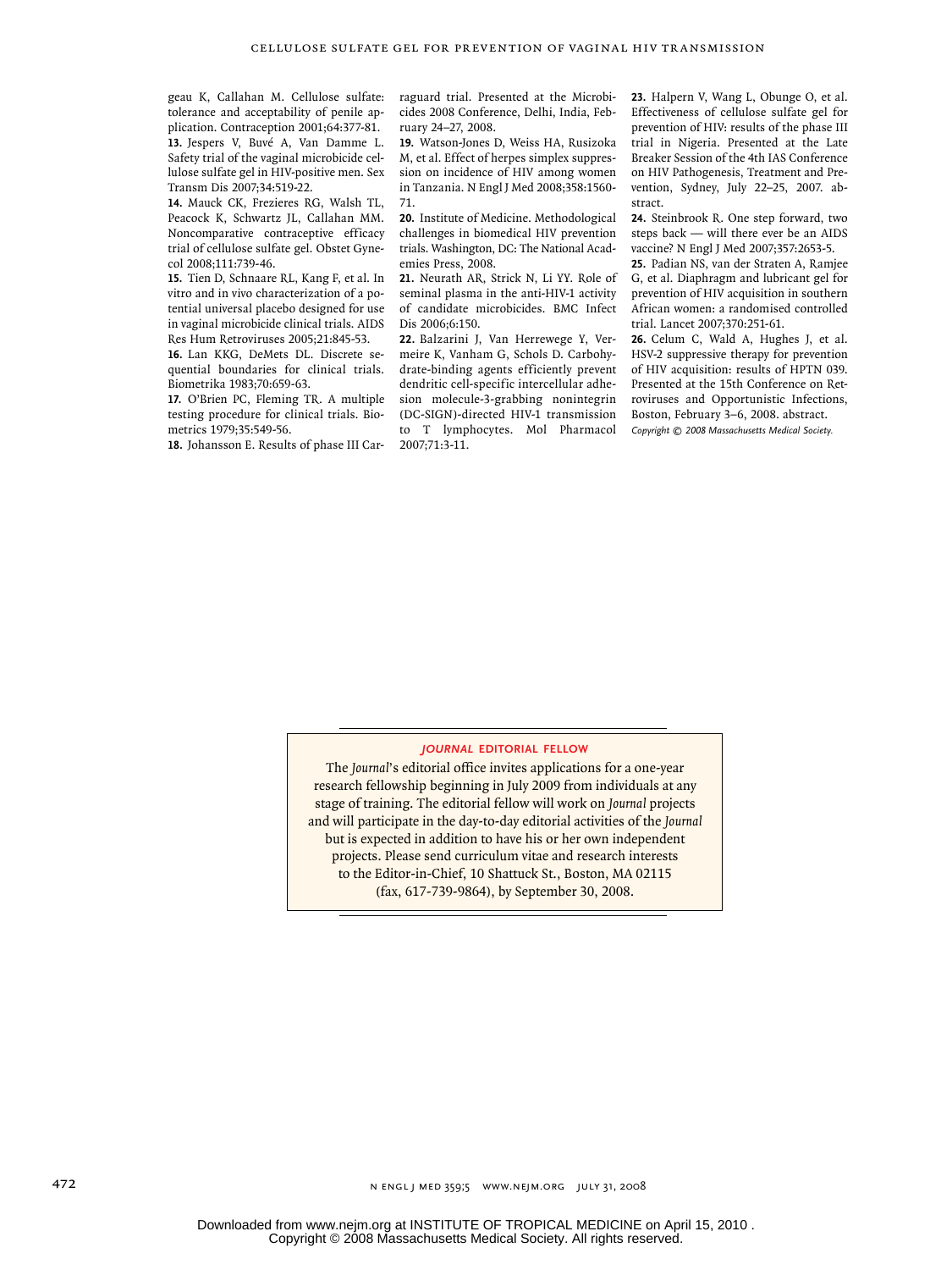geau K, Callahan M. Cellulose sulfate: tolerance and acceptability of penile application. Contraception 2001;64:377-81. **13.** Jespers V, Buvé A, Van Damme L. Safety trial of the vaginal microbicide cellulose sulfate gel in HIV-positive men. Sex Transm Dis 2007;34:519-22.

**14.** Mauck CK, Frezieres RG, Walsh TL, Peacock K, Schwartz JL, Callahan MM. Noncomparative contraceptive efficacy trial of cellulose sulfate gel. Obstet Gynecol 2008;111:739-46.

**15.** Tien D, Schnaare RL, Kang F, et al. In vitro and in vivo characterization of a potential universal placebo designed for use in vaginal microbicide clinical trials. AIDS Res Hum Retroviruses 2005;21:845-53.

**16.** Lan KKG, DeMets DL. Discrete sequential boundaries for clinical trials. Biometrika 1983;70:659-63.

**17.** O'Brien PC, Fleming TR. A multiple testing procedure for clinical trials. Biometrics 1979;35:549-56.

**18.** Johansson E. Results of phase III Car-

raguard trial. Presented at the Microbicides 2008 Conference, Delhi, India, February 24–27, 2008.

**19.** Watson-Jones D, Weiss HA, Rusizoka M, et al. Effect of herpes simplex suppression on incidence of HIV among women in Tanzania. N Engl J Med 2008;358:1560- 71.

**20.** Institute of Medicine. Methodological challenges in biomedical HIV prevention trials. Washington, DC: The National Academies Press, 2008.

**21.** Neurath AR, Strick N, Li YY. Role of seminal plasma in the anti-HIV-1 activity of candidate microbicides. BMC Infect Dis 2006;6:150.

**22.** Balzarini J, Van Herrewege Y, Vermeire K, Vanham G, Schols D. Carbohydrate-binding agents efficiently prevent dendritic cell-specific intercellular adhesion molecule-3-grabbing nonintegrin (DC-SIGN)-directed HIV-1 transmission to T lymphocytes. Mol Pharmacol 2007;71:3-11.

**23.** Halpern V, Wang L, Obunge O, et al. Effectiveness of cellulose sulfate gel for prevention of HIV: results of the phase III trial in Nigeria. Presented at the Late Breaker Session of the 4th IAS Conference on HIV Pathogenesis, Treatment and Prevention, Sydney, July 22–25, 2007. abstract.

**24.** Steinbrook R. One step forward, two steps back — will there ever be an AIDS vaccine? N Engl J Med 2007;357:2653-5.

**25.** Padian NS, van der Straten A, Ramjee G, et al. Diaphragm and lubricant gel for prevention of HIV acquisition in southern African women: a randomised controlled trial. Lancet 2007;370:251-61.

**26.** Celum C, Wald A, Hughes J, et al. HSV-2 suppressive therapy for prevention of HIV acquisition: results of HPTN 039. Presented at the 15th Conference on Retroviruses and Opportunistic Infections, Boston, February 3–6, 2008. abstract. *Copyright © 2008 Massachusetts Medical Society.*

#### *journal* **editorial fellow**

The *Journal*'s editorial office invites applications for a one-year research fellowship beginning in July 2009 from individuals at any stage of training. The editorial fellow will work on *Journal* projects and will participate in the day-to-day editorial activities of the *Journal*  but is expected in addition to have his or her own independent projects. Please send curriculum vitae and research interests to the Editor-in-Chief, 10 Shattuck St., Boston, MA 02115 (fax, 617-739-9864), by September 30, 2008.